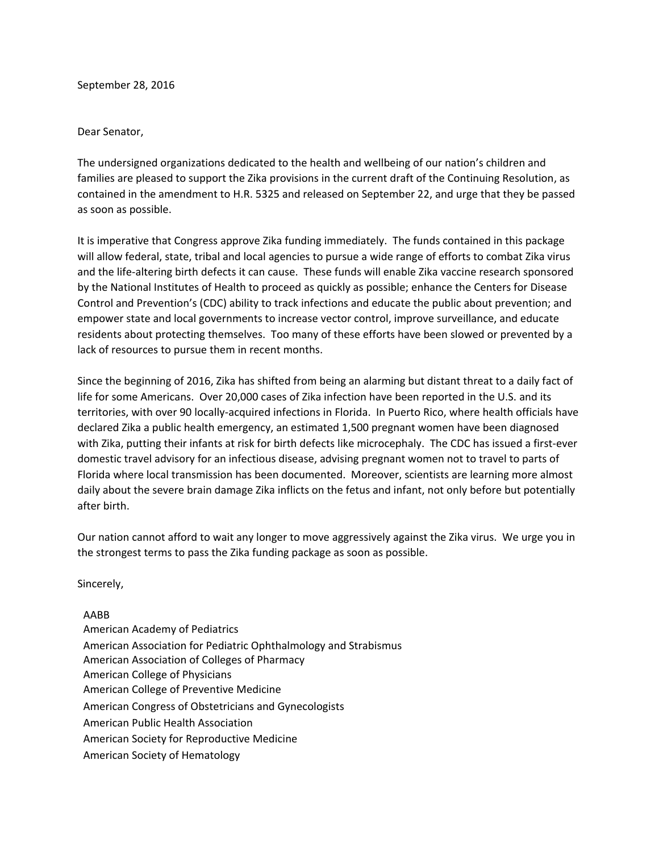September 28, 2016

## Dear Senator,

The undersigned organizations dedicated to the health and wellbeing of our nation's children and families are pleased to support the Zika provisions in the current draft of the Continuing Resolution, as contained in the amendment to H.R. 5325 and released on September 22, and urge that they be passed as soon as possible.

It is imperative that Congress approve Zika funding immediately. The funds contained in this package will allow federal, state, tribal and local agencies to pursue a wide range of efforts to combat Zika virus and the life-altering birth defects it can cause. These funds will enable Zika vaccine research sponsored by the National Institutes of Health to proceed as quickly as possible; enhance the Centers for Disease Control and Prevention's (CDC) ability to track infections and educate the public about prevention; and empower state and local governments to increase vector control, improve surveillance, and educate residents about protecting themselves. Too many of these efforts have been slowed or prevented by a lack of resources to pursue them in recent months.

Since the beginning of 2016, Zika has shifted from being an alarming but distant threat to a daily fact of life for some Americans. Over 20,000 cases of Zika infection have been reported in the U.S. and its territories, with over 90 locally-acquired infections in Florida. In Puerto Rico, where health officials have declared Zika a public health emergency, an estimated 1,500 pregnant women have been diagnosed with Zika, putting their infants at risk for birth defects like microcephaly. The CDC has issued a first-ever domestic travel advisory for an infectious disease, advising pregnant women not to travel to parts of Florida where local transmission has been documented. Moreover, scientists are learning more almost daily about the severe brain damage Zika inflicts on the fetus and infant, not only before but potentially after birth.

Our nation cannot afford to wait any longer to move aggressively against the Zika virus. We urge you in the strongest terms to pass the Zika funding package as soon as possible.

Sincerely,

## AABB

American Academy of Pediatrics American Association for Pediatric Ophthalmology and Strabismus American Association of Colleges of Pharmacy American College of Physicians [American College of Preventive Medicine](http://www.acpm.org/) American Congress of Obstetricians and Gynecologists American Public Health Association American Society for Reproductive Medicine American Society of Hematology